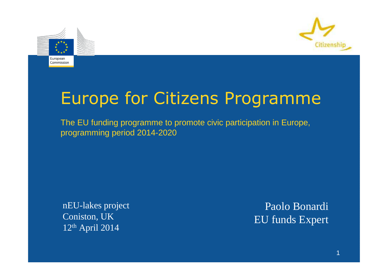



# Europe for Citizens Programme

The EU funding programme to promote civic participation in Europe,programming period 2014-2020

nEU-lakes projectConiston, UK12th April 2014

Paolo BonardiEU funds Expert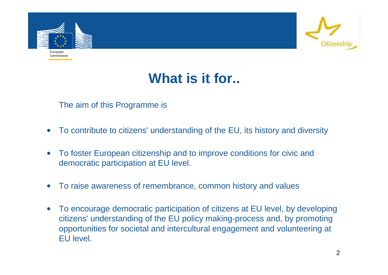



### **What is it for..**

#### The aim of this Programme is

- •To contribute to citizens' understanding of the EU, its history and diversity
- $\bullet$  To foster European citizenship and to improve conditions for civic and democratic participation at EU level.
- $\bullet$ To raise awareness of remembrance, common history and values
- $\bullet$  To encourage democratic participation of citizens at EU level, by developing citizens' understanding of the EU policy making-process and, by promoting opportunities for societal and intercultural engagement and volunteering at EU level.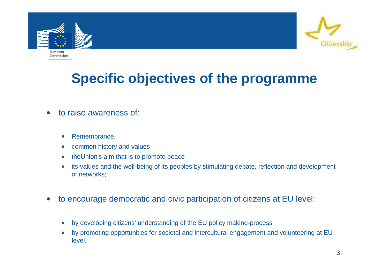



#### **Specific objectives of the programme**

- $\bullet$  to raise awareness of:
	- •Remembrance,
	- $\bullet$ common history and values
	- •theUnion's aim that is to promote peace
	- • its values and the well-being of its peoples by stimulating debate, reflection and development of networks;
- $\bullet$  to encourage democratic and civic participation of citizens at EU level:
	- $\bullet$ by developing citizens' understanding of the EU policy making-process
	- • by promoting opportunities for societal and intercultural engagement and volunteering at EU level.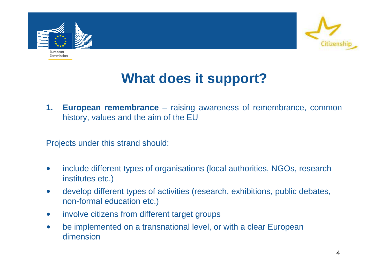



### **What does it support?**

**1. European remembrance** – raising awareness of remembrance, common history, values and the aim of the EU

Projects under this strand should:

- $\bullet$  include different types of organisations (local authorities, NGOs, research institutes etc.)
- $\bullet$  develop different types of activities (research, exhibitions, public debates, non-formal education etc.)
- $\bullet$ involve citizens from different target groups
- $\bullet$  be implemented on a transnational level, or with a clear European dimension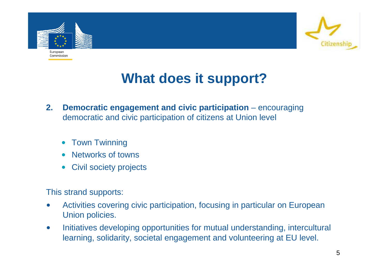



# **What does it support?**

- **2. Democratic engagement and civic participation** encouraging democratic and civic participation of citizens at Union level
	- •Town Twinning
	- •Networks of towns
	- $\bullet$ Civil society projects

This strand supports:

- • Activities covering civic participation, focusing in particular on European Union policies.
- $\bullet$  Initiatives developing opportunities for mutual understanding, intercultural learning, solidarity, societal engagement and volunteering at EU level.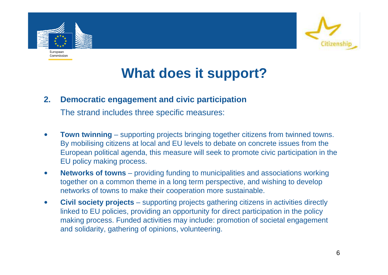



# **What does it support?**

#### **2. Democratic engagement and civic participation**

The strand includes three specific measures:

- $\bullet$ **Town twinning** – supporting projects bringing together citizens from twinned towns. By mobilising citizens at local and EU levels to debate on concrete issues from the European political agenda, this measure will seek to promote civic participation in the EU policy making process.
- $\bullet$  **Networks of towns** – providing funding to municipalities and associations working together on a common theme in a long term perspective, and wishing to develop networks of towns to make their cooperation more sustainable.
- $\bullet$  **Civil society projects** – supporting projects gathering citizens in activities directly linked to EU policies, providing an opportunity for direct participation in the policy making process. Funded activities may include: promotion of societal engagement and solidarity, gathering of opinions, volunteering.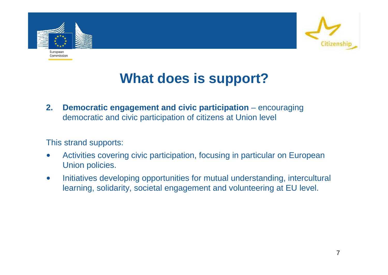



## **What does is support?**

**2. Democratic engagement and civic participation** – encouraging democratic and civic participation of citizens at Union level

This strand supports:

- • Activities covering civic participation, focusing in particular on European Union policies.
- $\bullet$  Initiatives developing opportunities for mutual understanding, intercultural learning, solidarity, societal engagement and volunteering at EU level.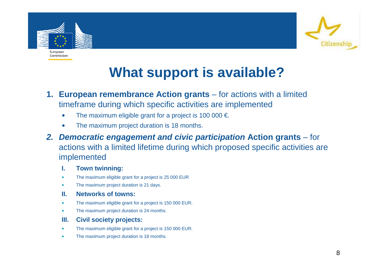



# **What support is available?**

- **1. European remembrance Action grants** for actions with a limited timeframe during which specific activities are implemented
	- •The maximum eligible grant for a project is 100 000  $\epsilon$ .
	- •The maximum project duration is 18 months.
- **2. Democratic engagement and civic participation Action grants** for actions with a limited lifetime during which proposed specific activities are implemented
	- **I. Town twinning:**
	- •The maximum eligible grant for a project is 25 000 EUR
	- •The maximum project duration is 21 days.
	- **II. Networks of towns:**
	- $\bullet$ The maximum eligible grant for a project is 150 000 EUR.
	- •The maximum project duration is 24 months.
	- **III. Civil society projects:**
	- •The maximum eligible grant for a project is 150 000 EUR.
	- •The maximum project duration is 18 months.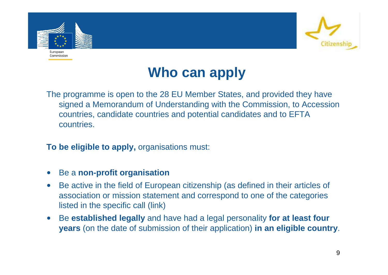



## **Who can apply**

The programme is open to the 28 EU Member States, and provided they have signed a Memorandum of Understanding with the Commission, to Accession countries, candidate countries and potential candidates and to EFTA countries.

**To be eligible to apply,** organisations must:

- •Be a **non-profit organisation**
- $\bullet$  Be active in the field of European citizenship (as defined in their articles of association or mission statement and correspond to one of the categories listed in the specific call (link)
- Be **established legally** and have had a legal personality **for at least four years** (on the date of submission of their application) **in an eligible country**.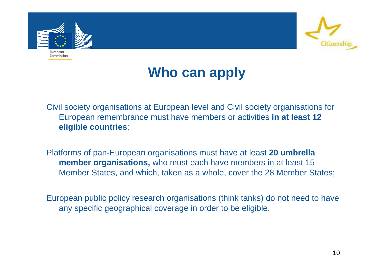



# **Who can apply**

Civil society organisations at European level and Civil society organisations for European remembrance must have members or activities **in at least 12 eligible countries**;

Platforms of pan-European organisations must have at least **20 umbrella member organisations,** who must each have members in at least 15 Member States, and which, taken as a whole, cover the 28 Member States;

European public policy research organisations (think tanks) do not need to have any specific geographical coverage in order to be eligible.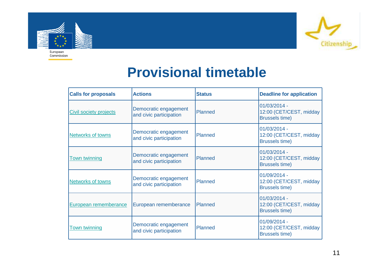



#### **Provisional timetable**

| <b>Calls for proposals</b>    | <b>Actions</b>                                   | <b>Status</b>  | <b>Deadline for application</b>                                  |
|-------------------------------|--------------------------------------------------|----------------|------------------------------------------------------------------|
| <b>Civil society projects</b> | Democratic engagement<br>and civic participation | <b>Planned</b> | 01/03/2014 -<br>12:00 (CET/CEST, midday<br><b>Brussels time)</b> |
| <b>Networks of towns</b>      | Democratic engagement<br>and civic participation | <b>Planned</b> | 01/03/2014 -<br>12:00 (CET/CEST, midday<br><b>Brussels time)</b> |
| <b>Town twinning</b>          | Democratic engagement<br>and civic participation | <b>Planned</b> | 01/03/2014 -<br>12:00 (CET/CEST, midday<br><b>Brussels time)</b> |
| <b>Networks of towns</b>      | Democratic engagement<br>and civic participation | <b>Planned</b> | 01/09/2014 -<br>12:00 (CET/CEST, midday<br><b>Brussels time)</b> |
| European rememberance         | European rememberance                            | <b>Planned</b> | 01/03/2014 -<br>12:00 (CET/CEST, midday<br><b>Brussels time)</b> |
| <b>Town twinning</b>          | Democratic engagement<br>and civic participation | Planned        | 01/09/2014 -<br>12:00 (CET/CEST, midday<br><b>Brussels time)</b> |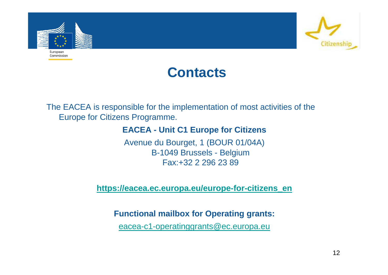



The EACEA is responsible for the implementation of most activities of the Europe for Citizens Programme.

#### **EACEA - Unit C1 Europe for Citizens**

Avenue du Bourget, 1 (BOUR 01/04A)B-1049 Brussels - BelgiumFax:+32 2 296 23 89

**https://eacea.ec.europa.eu/europe-for-citizens\_en**

**Functional mailbox for Operating grants:**

eacea-c1-operatinggrants@ec.europa.eu